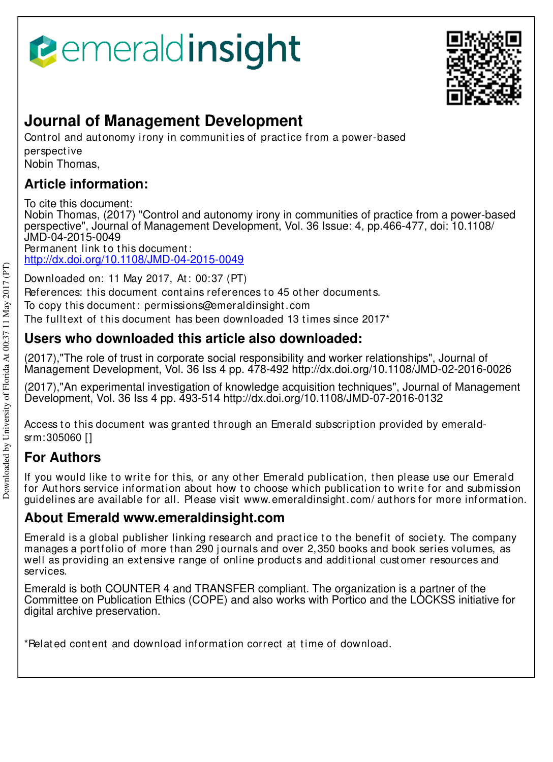



# **Journal of Management Development**

Control and autonomy irony in communities of practice from a power-based perspect ive Nobin Thomas,

# **Article information:**

To cite this document: Nobin Thomas, (2017) "Control and autonomy irony in communities of practice from a power-based perspective", Journal of Management Development, Vol. 36 Issue: 4, pp.466-477, doi: 10.1108/ JMD-04-2015-0049 Permanent link to this document: http://dx.doi.org/10.1108/JMD-04-2015-0049

Downloaded on: 11 May 2017, At: 00:37 (PT)

References: this document contains references to 45 other documents.

To copy t his document : permissions@emeraldinsight .com

The fulltext of this document has been downloaded 13 times since  $2017<sup>*</sup>$ 

## **Users who downloaded this article also downloaded:**

(2017),"The role of trust in corporate social responsibility and worker relationships", Journal of Management Development, Vol. 36 Iss 4 pp. 478-492 http://dx.doi.org/10.1108/JMD-02-2016-0026

(2017),"An experimental investigation of knowledge acquisition techniques", Journal of Management Development, Vol. 36 Iss 4 pp. 493-514 http://dx.doi.org/10.1108/JMD-07-2016-0132

Access to this document was granted through an Emerald subscription provided by emeraldsrm:305060 []

# **For Authors**

If you would like to write for this, or any other Emerald publication, then please use our Emerald for Authors service information about how to choose which publication to write for and submission guidelines are available for all. Please visit www.emeraldinsight .com/ aut hors for more informat ion.

### **About Emerald www.emeraldinsight.com**

Emerald is a global publisher linking research and practice to the benefit of society. The company manages a portfolio of more than 290 journals and over 2,350 books and book series volumes, as well as providing an extensive range of online products and additional customer resources and services.

Emerald is both COUNTER 4 and TRANSFER compliant. The organization is a partner of the Committee on Publication Ethics (COPE) and also works with Portico and the LOCKSS initiative for digital archive preservation.

\*Related content and download information correct at time of download.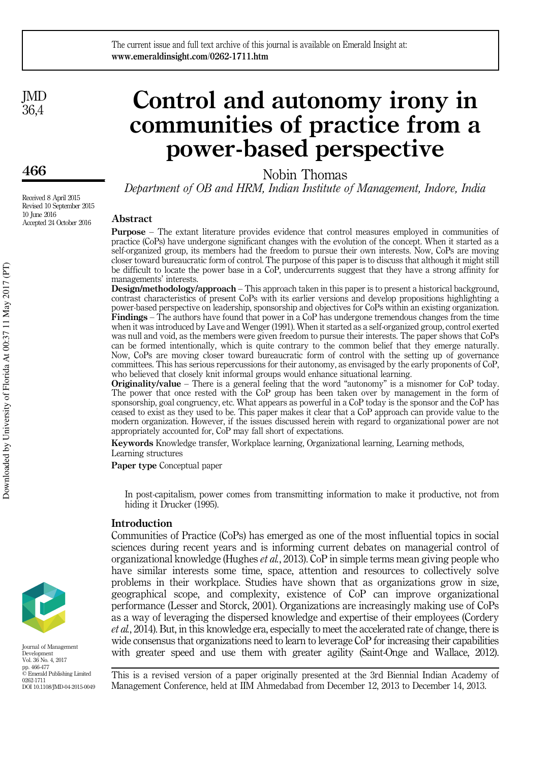JMD 36,4

#### 466

Received 8 April 2015 Revised 10 September 2015 10 June 2016 Accepted 24 October 2016

# Control and autonomy irony in communities of practice from a power-based perspective

Nobin Thomas

*Department of OB and HRM, Indian Institute of Management, Indore, India*

#### Abstract

Purpose – The extant literature provides evidence that control measures employed in communities of practice (CoPs) have undergone significant changes with the evolution of the concept. When it started as a self-organized group, its members had the freedom to pursue their own interests. Now, CoPs are moving closer toward bureaucratic form of control. The purpose of this paper is to discuss that although it might still be difficult to locate the power base in a CoP, undercurrents suggest that they have a strong affinity for managements' interests.

Design/methodology/approach – This approach taken in this paper is to present a historical background, contrast characteristics of present CoPs with its earlier versions and develop propositions highlighting a power-based perspective on leadership, sponsorship and objectives for CoPs within an existing organization. Findings – The authors have found that power in a CoP has undergone tremendous changes from the time when it was introduced by Lave and Wenger (1991). When it started as a self-organized group, control exerted was null and void, as the members were given freedom to pursue their interests. The paper shows that CoPs can be formed intentionally, which is quite contrary to the common belief that they emerge naturally. Now, CoPs are moving closer toward bureaucratic form of control with the setting up of governance committees. This has serious repercussions for their autonomy, as envisaged by the early proponents of CoP, who believed that closely knit informal groups would enhance situational learning.

Originality/value – There is a general feeling that the word "autonomy" is a misnomer for CoP today. The power that once rested with the CoP group has been taken over by management in the form of sponsorship, goal congruency, etc. What appears as powerful in a CoP today is the sponsor and the CoP has ceased to exist as they used to be. This paper makes it clear that a CoP approach can provide value to the modern organization. However, if the issues discussed herein with regard to organizational power are not appropriately accounted for, CoP may fall short of expectations.

Keywords Knowledge transfer, Workplace learning, Organizational learning, Learning methods,

Learning structures

Paper type Conceptual paper

In post-capitalism, power comes from transmitting information to make it productive, not from hiding it Drucker (1995).

#### Introduction

Communities of Practice (CoPs) has emerged as one of the most influential topics in social sciences during recent years and is informing current debates on managerial control of organizational knowledge (Hughes *et al.*, 2013). CoP in simple terms mean giving people who have similar interests some time, space, attention and resources to collectively solve problems in their workplace. Studies have shown that as organizations grow in size, geographical scope, and complexity, existence of CoP can improve organizational performance (Lesser and Storck, 2001). Organizations are increasingly making use of CoPs as a way of leveraging the dispersed knowledge and expertise of their employees (Cordery *et al.*, 2014). But, in this knowledge era, especially to meet the accelerated rate of change, there is wide consensus that organizations need to learn to leverage CoP for increasing their capabilities with greater speed and use them with greater agility (Saint-Onge and Wallace, 2012). Journal of Management

> This is a revised version of a paper originally presented at the 3rd Biennial Indian Academy of Management Conference, held at IIM Ahmedabad from December 12, 2013 to December 14, 2013.



Development Vol. 36 No. 4, 2017 pp. 466-477 © Emerald Publishing Limited 0262-1711 DOI 10.1108/JMD-04-2015-0049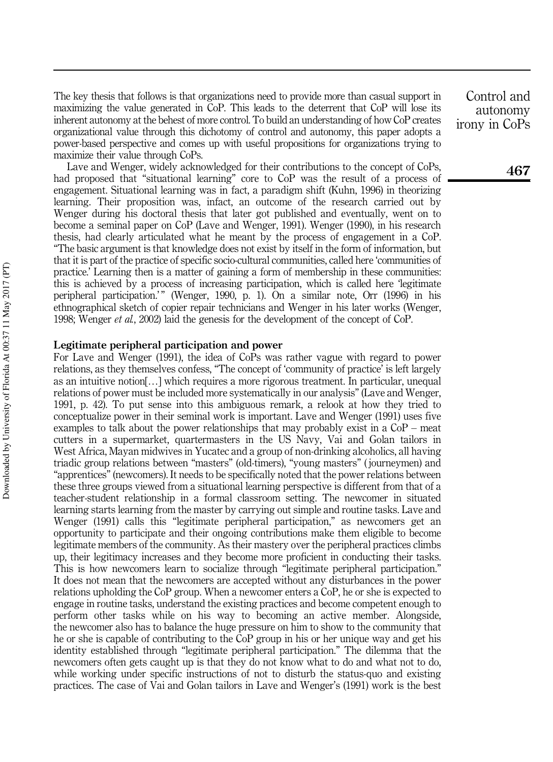The key thesis that follows is that organizations need to provide more than casual support in maximizing the value generated in CoP. This leads to the deterrent that CoP will lose its inherent autonomy at the behest of more control. To build an understanding of how CoP creates organizational value through this dichotomy of control and autonomy, this paper adopts a power-based perspective and comes up with useful propositions for organizations trying to maximize their value through CoPs.

Lave and Wenger, widely acknowledged for their contributions to the concept of CoPs, had proposed that "situational learning" core to CoP was the result of a process of engagement. Situational learning was in fact, a paradigm shift (Kuhn, 1996) in theorizing learning. Their proposition was, infact, an outcome of the research carried out by Wenger during his doctoral thesis that later got published and eventually, went on to become a seminal paper on CoP (Lave and Wenger, 1991). Wenger (1990), in his research thesis, had clearly articulated what he meant by the process of engagement in a CoP. "The basic argument is that knowledge does not exist by itself in the form of information, but that it is part of the practice of specific socio-cultural communities, called here 'communities of practice.' Learning then is a matter of gaining a form of membership in these communities: this is achieved by a process of increasing participation, which is called here 'legitimate peripheral participation.' " (Wenger, 1990, p. 1). On a similar note, Orr (1996) in his ethnographical sketch of copier repair technicians and Wenger in his later works (Wenger, 1998; Wenger *et al.*, 2002) laid the genesis for the development of the concept of CoP.

#### Legitimate peripheral participation and power

For Lave and Wenger (1991), the idea of CoPs was rather vague with regard to power relations, as they themselves confess, "The concept of 'community of practice' is left largely as an intuitive notion[…] which requires a more rigorous treatment. In particular, unequal relations of power must be included more systematically in our analysis" (Lave and Wenger, 1991, p. 42). To put sense into this ambiguous remark, a relook at how they tried to conceptualize power in their seminal work is important. Lave and Wenger (1991) uses five examples to talk about the power relationships that may probably exist in a CoP – meat cutters in a supermarket, quartermasters in the US Navy, Vai and Golan tailors in West Africa, Mayan midwives in Yucatec and a group of non-drinking alcoholics, all having triadic group relations between "masters" (old-timers), "young masters" ( journeymen) and "apprentices" (newcomers). It needs to be specifically noted that the power relations between these three groups viewed from a situational learning perspective is different from that of a teacher-student relationship in a formal classroom setting. The newcomer in situated learning starts learning from the master by carrying out simple and routine tasks. Lave and Wenger (1991) calls this "legitimate peripheral participation," as newcomers get an opportunity to participate and their ongoing contributions make them eligible to become legitimate members of the community. As their mastery over the peripheral practices climbs up, their legitimacy increases and they become more proficient in conducting their tasks. This is how newcomers learn to socialize through "legitimate peripheral participation." It does not mean that the newcomers are accepted without any disturbances in the power relations upholding the CoP group. When a newcomer enters a CoP, he or she is expected to engage in routine tasks, understand the existing practices and become competent enough to perform other tasks while on his way to becoming an active member. Alongside, the newcomer also has to balance the huge pressure on him to show to the community that he or she is capable of contributing to the CoP group in his or her unique way and get his identity established through "legitimate peripheral participation." The dilemma that the newcomers often gets caught up is that they do not know what to do and what not to do, while working under specific instructions of not to disturb the status-quo and existing practices. The case of Vai and Golan tailors in Lave and Wenger's (1991) work is the best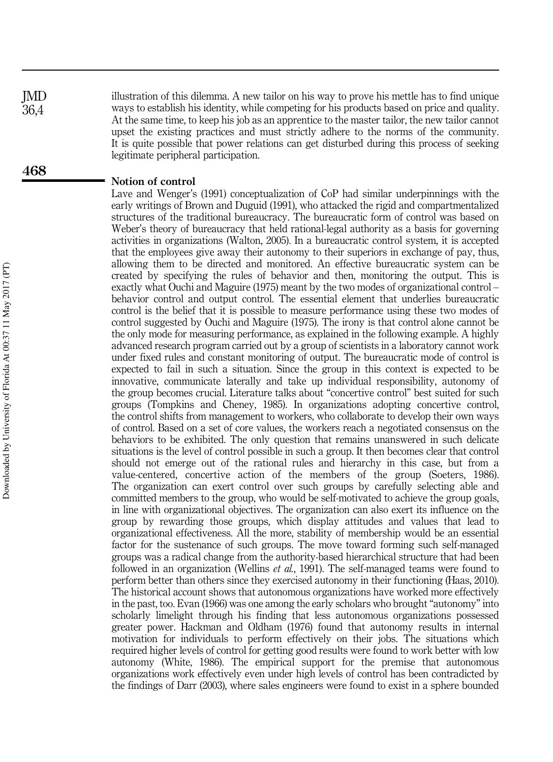illustration of this dilemma. A new tailor on his way to prove his mettle has to find unique ways to establish his identity, while competing for his products based on price and quality. At the same time, to keep his job as an apprentice to the master tailor, the new tailor cannot upset the existing practices and must strictly adhere to the norms of the community. It is quite possible that power relations can get disturbed during this process of seeking legitimate peripheral participation.

#### Notion of control

Lave and Wenger's (1991) conceptualization of CoP had similar underpinnings with the early writings of Brown and Duguid (1991), who attacked the rigid and compartmentalized structures of the traditional bureaucracy. The bureaucratic form of control was based on Weber's theory of bureaucracy that held rational-legal authority as a basis for governing activities in organizations (Walton, 2005). In a bureaucratic control system, it is accepted that the employees give away their autonomy to their superiors in exchange of pay, thus, allowing them to be directed and monitored. An effective bureaucratic system can be created by specifying the rules of behavior and then, monitoring the output. This is exactly what Ouchi and Maguire (1975) meant by the two modes of organizational control – behavior control and output control. The essential element that underlies bureaucratic control is the belief that it is possible to measure performance using these two modes of control suggested by Ouchi and Maguire (1975). The irony is that control alone cannot be the only mode for measuring performance, as explained in the following example. A highly advanced research program carried out by a group of scientists in a laboratory cannot work under fixed rules and constant monitoring of output. The bureaucratic mode of control is expected to fail in such a situation. Since the group in this context is expected to be innovative, communicate laterally and take up individual responsibility, autonomy of the group becomes crucial. Literature talks about "concertive control" best suited for such groups (Tompkins and Cheney, 1985). In organizations adopting concertive control, the control shifts from management to workers, who collaborate to develop their own ways of control. Based on a set of core values, the workers reach a negotiated consensus on the behaviors to be exhibited. The only question that remains unanswered in such delicate situations is the level of control possible in such a group. It then becomes clear that control should not emerge out of the rational rules and hierarchy in this case, but from a value-centered, concertive action of the members of the group (Soeters, 1986). The organization can exert control over such groups by carefully selecting able and committed members to the group, who would be self-motivated to achieve the group goals, in line with organizational objectives. The organization can also exert its influence on the group by rewarding those groups, which display attitudes and values that lead to organizational effectiveness. All the more, stability of membership would be an essential factor for the sustenance of such groups. The move toward forming such self-managed groups was a radical change from the authority-based hierarchical structure that had been followed in an organization (Wellins *et al.*, 1991). The self-managed teams were found to perform better than others since they exercised autonomy in their functioning (Haas, 2010). The historical account shows that autonomous organizations have worked more effectively in the past, too. Evan (1966) was one among the early scholars who brought "autonomy" into scholarly limelight through his finding that less autonomous organizations possessed greater power. Hackman and Oldham (1976) found that autonomy results in internal motivation for individuals to perform effectively on their jobs. The situations which required higher levels of control for getting good results were found to work better with low autonomy (White, 1986). The empirical support for the premise that autonomous organizations work effectively even under high levels of control has been contradicted by the findings of Darr (2003), where sales engineers were found to exist in a sphere bounded

468

JMD 36,4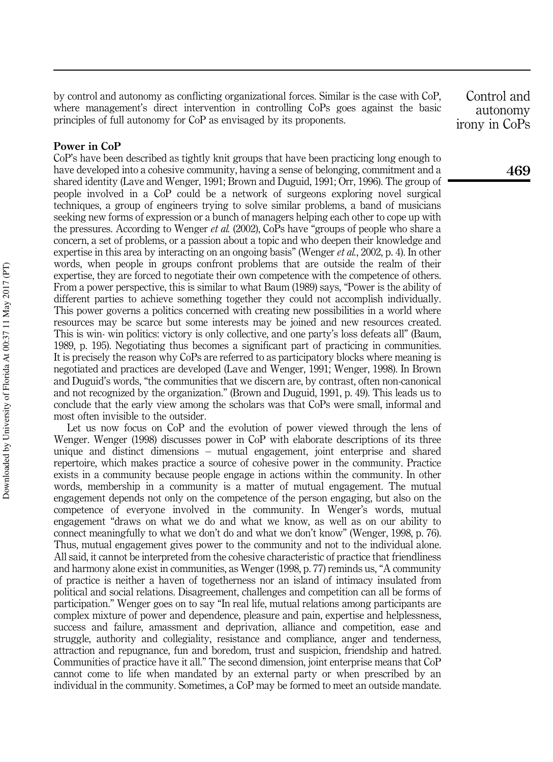by control and autonomy as conflicting organizational forces. Similar is the case with CoP, where management's direct intervention in controlling CoPs goes against the basic principles of full autonomy for CoP as envisaged by its proponents.

#### Power in CoP

CoP's have been described as tightly knit groups that have been practicing long enough to have developed into a cohesive community, having a sense of belonging, commitment and a shared identity (Lave and Wenger, 1991; Brown and Duguid, 1991; Orr, 1996). The group of people involved in a CoP could be a network of surgeons exploring novel surgical techniques, a group of engineers trying to solve similar problems, a band of musicians seeking new forms of expression or a bunch of managers helping each other to cope up with the pressures. According to Wenger *et al.* (2002), CoPs have "groups of people who share a concern, a set of problems, or a passion about a topic and who deepen their knowledge and expertise in this area by interacting on an ongoing basis" (Wenger *et al.*, 2002, p. 4). In other words, when people in groups confront problems that are outside the realm of their expertise, they are forced to negotiate their own competence with the competence of others. From a power perspective, this is similar to what Baum (1989) says, "Power is the ability of different parties to achieve something together they could not accomplish individually. This power governs a politics concerned with creating new possibilities in a world where resources may be scarce but some interests may be joined and new resources created. This is win- win politics: victory is only collective, and one party's loss defeats all" (Baum, 1989, p. 195). Negotiating thus becomes a significant part of practicing in communities. It is precisely the reason why CoPs are referred to as participatory blocks where meaning is negotiated and practices are developed (Lave and Wenger, 1991; Wenger, 1998). In Brown and Duguid's words, "the communities that we discern are, by contrast, often non-canonical and not recognized by the organization." (Brown and Duguid, 1991, p. 49). This leads us to conclude that the early view among the scholars was that CoPs were small, informal and most often invisible to the outsider.

Let us now focus on CoP and the evolution of power viewed through the lens of Wenger. Wenger (1998) discusses power in CoP with elaborate descriptions of its three unique and distinct dimensions – mutual engagement, joint enterprise and shared repertoire, which makes practice a source of cohesive power in the community. Practice exists in a community because people engage in actions within the community. In other words, membership in a community is a matter of mutual engagement. The mutual engagement depends not only on the competence of the person engaging, but also on the competence of everyone involved in the community. In Wenger's words, mutual engagement "draws on what we do and what we know, as well as on our ability to connect meaningfully to what we don't do and what we don't know" (Wenger, 1998, p. 76). Thus, mutual engagement gives power to the community and not to the individual alone. All said, it cannot be interpreted from the cohesive characteristic of practice that friendliness and harmony alone exist in communities, as Wenger (1998, p. 77) reminds us, "A community of practice is neither a haven of togetherness nor an island of intimacy insulated from political and social relations. Disagreement, challenges and competition can all be forms of participation." Wenger goes on to say "In real life, mutual relations among participants are complex mixture of power and dependence, pleasure and pain, expertise and helplessness, success and failure, amassment and deprivation, alliance and competition, ease and struggle, authority and collegiality, resistance and compliance, anger and tenderness, attraction and repugnance, fun and boredom, trust and suspicion, friendship and hatred. Communities of practice have it all." The second dimension, joint enterprise means that CoP cannot come to life when mandated by an external party or when prescribed by an individual in the community. Sometimes, a CoP may be formed to meet an outside mandate.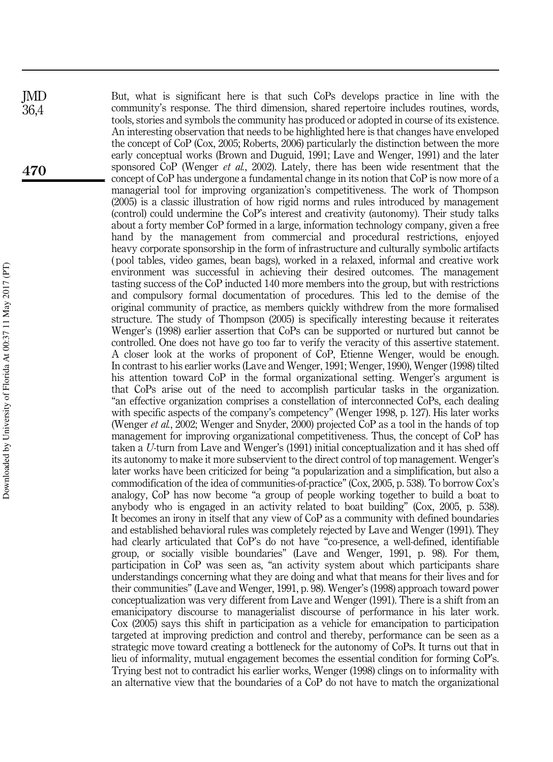But, what is significant here is that such CoPs develops practice in line with the community's response. The third dimension, shared repertoire includes routines, words, tools, stories and symbols the community has produced or adopted in course of its existence. An interesting observation that needs to be highlighted here is that changes have enveloped the concept of CoP (Cox, 2005; Roberts, 2006) particularly the distinction between the more early conceptual works (Brown and Duguid, 1991; Lave and Wenger, 1991) and the later sponsored CoP (Wenger *et al.*, 2002). Lately, there has been wide resentment that the concept of CoP has undergone a fundamental change in its notion that CoP is now more of a managerial tool for improving organization's competitiveness. The work of Thompson (2005) is a classic illustration of how rigid norms and rules introduced by management (control) could undermine the CoP's interest and creativity (autonomy). Their study talks about a forty member CoP formed in a large, information technology company, given a free hand by the management from commercial and procedural restrictions, enjoyed heavy corporate sponsorship in the form of infrastructure and culturally symbolic artifacts ( pool tables, video games, bean bags), worked in a relaxed, informal and creative work environment was successful in achieving their desired outcomes. The management tasting success of the CoP inducted 140 more members into the group, but with restrictions and compulsory formal documentation of procedures. This led to the demise of the original community of practice, as members quickly withdrew from the more formalised structure. The study of Thompson (2005) is specifically interesting because it reiterates Wenger's (1998) earlier assertion that CoPs can be supported or nurtured but cannot be controlled. One does not have go too far to verify the veracity of this assertive statement. A closer look at the works of proponent of CoP, Etienne Wenger, would be enough. In contrast to his earlier works (Lave and Wenger, 1991; Wenger, 1990), Wenger (1998) tilted his attention toward CoP in the formal organizational setting. Wenger's argument is that CoPs arise out of the need to accomplish particular tasks in the organization. "an effective organization comprises a constellation of interconnected CoPs, each dealing with specific aspects of the company's competency" (Wenger 1998, p. 127). His later works (Wenger *et al.*, 2002; Wenger and Snyder, 2000) projected CoP as a tool in the hands of top management for improving organizational competitiveness. Thus, the concept of CoP has taken a *U*-turn from Lave and Wenger's (1991) initial conceptualization and it has shed off its autonomy to make it more subservient to the direct control of top management. Wenger's later works have been criticized for being "a popularization and a simplification, but also a commodification of the idea of communities-of-practice" (Cox, 2005, p. 538). To borrow Cox's analogy, CoP has now become "a group of people working together to build a boat to anybody who is engaged in an activity related to boat building" (Cox, 2005, p. 538). It becomes an irony in itself that any view of CoP as a community with defined boundaries and established behavioral rules was completely rejected by Lave and Wenger (1991). They had clearly articulated that CoP's do not have "co-presence, a well-defined, identifiable group, or socially visible boundaries" (Lave and Wenger, 1991, p. 98). For them, participation in CoP was seen as, "an activity system about which participants share understandings concerning what they are doing and what that means for their lives and for their communities" (Lave and Wenger, 1991, p. 98). Wenger's (1998) approach toward power conceptualization was very different from Lave and Wenger (1991). There is a shift from an emanicipatory discourse to managerialist discourse of performance in his later work. Cox (2005) says this shift in participation as a vehicle for emancipation to participation targeted at improving prediction and control and thereby, performance can be seen as a strategic move toward creating a bottleneck for the autonomy of CoPs. It turns out that in lieu of informality, mutual engagement becomes the essential condition for forming CoP's. Trying best not to contradict his earlier works, Wenger (1998) clings on to informality with an alternative view that the boundaries of a CoP do not have to match the organizational

470

JMD 36,4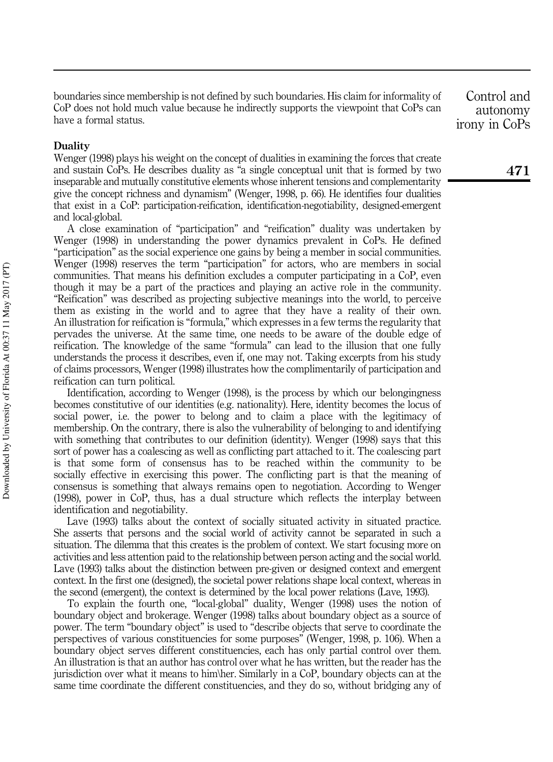boundaries since membership is not defined by such boundaries. His claim for informality of CoP does not hold much value because he indirectly supports the viewpoint that CoPs can have a formal status.

#### Duality

Wenger (1998) plays his weight on the concept of dualities in examining the forces that create and sustain CoPs. He describes duality as "a single conceptual unit that is formed by two inseparable and mutually constitutive elements whose inherent tensions and complementarity give the concept richness and dynamism" (Wenger, 1998, p. 66). He identifies four dualities that exist in a CoP: participation-reification, identification-negotiability, designed-emergent and local-global.

A close examination of "participation" and "reification" duality was undertaken by Wenger (1998) in understanding the power dynamics prevalent in CoPs. He defined "participation" as the social experience one gains by being a member in social communities. Wenger (1998) reserves the term "participation" for actors, who are members in social communities. That means his definition excludes a computer participating in a CoP, even though it may be a part of the practices and playing an active role in the community. "Reification" was described as projecting subjective meanings into the world, to perceive them as existing in the world and to agree that they have a reality of their own. An illustration for reification is "formula," which expresses in a few terms the regularity that pervades the universe. At the same time, one needs to be aware of the double edge of reification. The knowledge of the same "formula" can lead to the illusion that one fully understands the process it describes, even if, one may not. Taking excerpts from his study of claims processors, Wenger (1998) illustrates how the complimentarily of participation and reification can turn political.

Identification, according to Wenger (1998), is the process by which our belongingness becomes constitutive of our identities (e.g. nationality). Here, identity becomes the locus of social power, i.e. the power to belong and to claim a place with the legitimacy of membership. On the contrary, there is also the vulnerability of belonging to and identifying with something that contributes to our definition (identity). Wenger (1998) says that this sort of power has a coalescing as well as conflicting part attached to it. The coalescing part is that some form of consensus has to be reached within the community to be socially effective in exercising this power. The conflicting part is that the meaning of consensus is something that always remains open to negotiation. According to Wenger (1998), power in CoP, thus, has a dual structure which reflects the interplay between identification and negotiability.

Lave (1993) talks about the context of socially situated activity in situated practice. She asserts that persons and the social world of activity cannot be separated in such a situation. The dilemma that this creates is the problem of context. We start focusing more on activities and less attention paid to the relationship between person acting and the social world. Lave (1993) talks about the distinction between pre-given or designed context and emergent context. In the first one (designed), the societal power relations shape local context, whereas in the second (emergent), the context is determined by the local power relations (Lave, 1993).

To explain the fourth one, "local-global" duality, Wenger (1998) uses the notion of boundary object and brokerage. Wenger (1998) talks about boundary object as a source of power. The term "boundary object" is used to "describe objects that serve to coordinate the perspectives of various constituencies for some purposes" (Wenger, 1998, p. 106). When a boundary object serves different constituencies, each has only partial control over them. An illustration is that an author has control over what he has written, but the reader has the jurisdiction over what it means to him\her. Similarly in a CoP, boundary objects can at the same time coordinate the different constituencies, and they do so, without bridging any of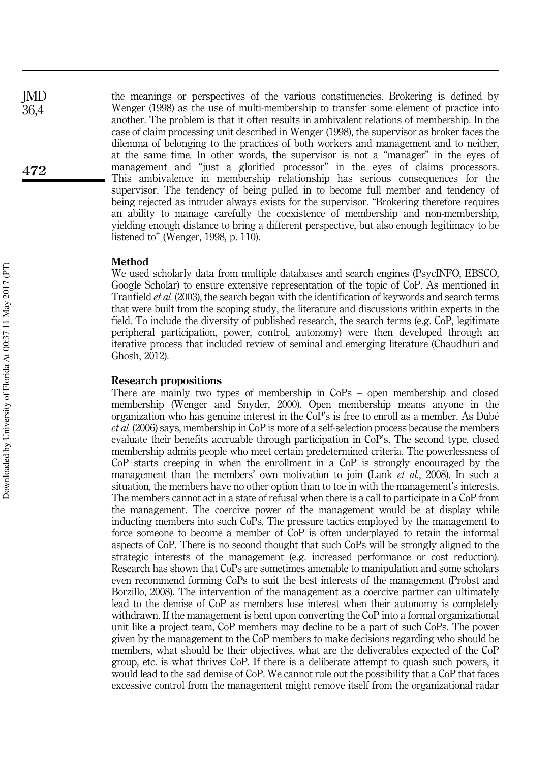the meanings or perspectives of the various constituencies. Brokering is defined by Wenger (1998) as the use of multi-membership to transfer some element of practice into another. The problem is that it often results in ambivalent relations of membership. In the case of claim processing unit described in Wenger (1998), the supervisor as broker faces the dilemma of belonging to the practices of both workers and management and to neither, at the same time. In other words, the supervisor is not a "manager" in the eyes of management and "just a glorified processor" in the eyes of claims processors. This ambivalence in membership relationship has serious consequences for the supervisor. The tendency of being pulled in to become full member and tendency of being rejected as intruder always exists for the supervisor. "Brokering therefore requires an ability to manage carefully the coexistence of membership and non-membership, yielding enough distance to bring a different perspective, but also enough legitimacy to be listened to" (Wenger, 1998, p. 110).

#### Method

We used scholarly data from multiple databases and search engines (PsycINFO, EBSCO, Google Scholar) to ensure extensive representation of the topic of CoP. As mentioned in Tranfield *et al.* (2003), the search began with the identification of keywords and search terms that were built from the scoping study, the literature and discussions within experts in the field. To include the diversity of published research, the search terms (e.g. CoP, legitimate peripheral participation, power, control, autonomy) were then developed through an iterative process that included review of seminal and emerging literature (Chaudhuri and Ghosh, 2012).

#### Research propositions

There are mainly two types of membership in CoPs – open membership and closed membership (Wenger and Snyder, 2000). Open membership means anyone in the organization who has genuine interest in the CoP's is free to enroll as a member. As Dubé *et al.* (2006) says, membership in CoP is more of a self-selection process because the members evaluate their benefits accruable through participation in CoP's. The second type, closed membership admits people who meet certain predetermined criteria. The powerlessness of CoP starts creeping in when the enrollment in a CoP is strongly encouraged by the management than the members' own motivation to join (Lank *et al.*, 2008). In such a situation, the members have no other option than to toe in with the management's interests. The members cannot act in a state of refusal when there is a call to participate in a CoP from the management. The coercive power of the management would be at display while inducting members into such CoPs. The pressure tactics employed by the management to force someone to become a member of CoP is often underplayed to retain the informal aspects of CoP. There is no second thought that such CoPs will be strongly aligned to the strategic interests of the management (e.g. increased performance or cost reduction). Research has shown that CoPs are sometimes amenable to manipulation and some scholars even recommend forming CoPs to suit the best interests of the management (Probst and Borzillo, 2008). The intervention of the management as a coercive partner can ultimately lead to the demise of CoP as members lose interest when their autonomy is completely withdrawn. If the management is bent upon converting the CoP into a formal organizational unit like a project team, CoP members may decline to be a part of such CoPs. The power given by the management to the CoP members to make decisions regarding who should be members, what should be their objectives, what are the deliverables expected of the CoP group, etc. is what thrives CoP. If there is a deliberate attempt to quash such powers, it would lead to the sad demise of CoP. We cannot rule out the possibility that a CoP that faces excessive control from the management might remove itself from the organizational radar

472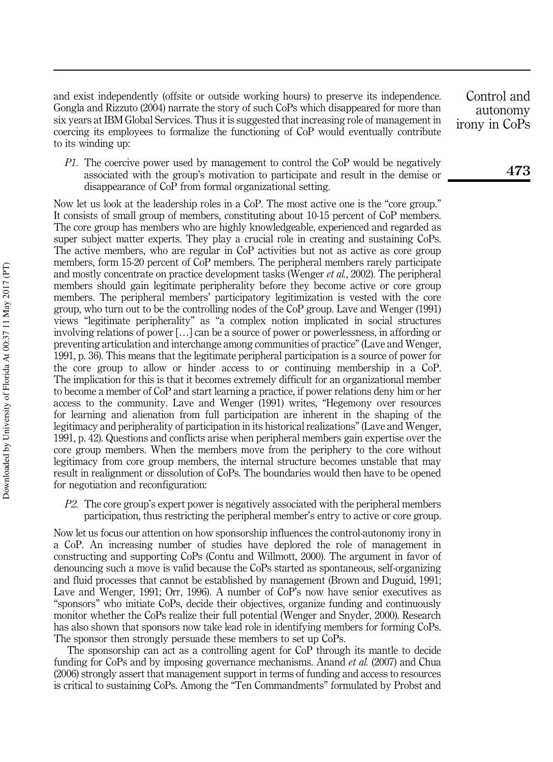and exist independently (offsite or outside working hours) to preserve its independence. Gongla and Rizzuto (2004) narrate the story of such CoPs which disappeared for more than six years at IBM Global Services. Thus it is suggested that increasing role of management in coercing its employees to formalize the functioning of CoP would eventually contribute to its winding up:

*P1.* The coercive power used by management to control the CoP would be negatively associated with the group's motivation to participate and result in the demise or disappearance of CoP from formal organizational setting.

Now let us look at the leadership roles in a CoP. The most active one is the "core group." It consists of small group of members, constituting about 10-15 percent of CoP members. The core group has members who are highly knowledgeable, experienced and regarded as super subject matter experts. They play a crucial role in creating and sustaining CoPs. The active members, who are regular in CoP activities but not as active as core group members, form 15-20 percent of CoP members. The peripheral members rarely participate and mostly concentrate on practice development tasks (Wenger *et al.*, 2002). The peripheral members should gain legitimate peripherality before they become active or core group members. The peripheral members' participatory legitimization is vested with the core group, who turn out to be the controlling nodes of the CoP group. Lave and Wenger (1991) views "legitimate peripherality" as "a complex notion implicated in social structures involving relations of power […] can be a source of power or powerlessness, in affording or preventing articulation and interchange among communities of practice" (Lave and Wenger, 1991, p. 36). This means that the legitimate peripheral participation is a source of power for the core group to allow or hinder access to or continuing membership in a CoP. The implication for this is that it becomes extremely difficult for an organizational member to become a member of CoP and start learning a practice, if power relations deny him or her access to the community. Lave and Wenger (1991) writes, "Hegemony over resources for learning and alienation from full participation are inherent in the shaping of the legitimacy and peripherality of participation in its historical realizations" (Lave and Wenger, 1991, p. 42). Questions and conflicts arise when peripheral members gain expertise over the core group members. When the members move from the periphery to the core without legitimacy from core group members, the internal structure becomes unstable that may result in realignment or dissolution of CoPs. The boundaries would then have to be opened for negotiation and reconfiguration:

*P2.* The core group's expert power is negatively associated with the peripheral members participation, thus restricting the peripheral member's entry to active or core group.

Now let us focus our attention on how sponsorship influences the control-autonomy irony in a CoP. An increasing number of studies have deplored the role of management in constructing and supporting CoPs (Contu and Willmott, 2000). The argument in favor of denouncing such a move is valid because the CoPs started as spontaneous, self-organizing and fluid processes that cannot be established by management (Brown and Duguid, 1991; Lave and Wenger, 1991; Orr, 1996). A number of CoP's now have senior executives as "sponsors" who initiate CoPs, decide their objectives, organize funding and continuously monitor whether the CoPs realize their full potential (Wenger and Snyder, 2000). Research has also shown that sponsors now take lead role in identifying members for forming CoPs. The sponsor then strongly persuade these members to set up CoPs.

The sponsorship can act as a controlling agent for CoP through its mantle to decide funding for CoPs and by imposing governance mechanisms. Anand *et al.* (2007) and Chua (2006) strongly assert that management support in terms of funding and access to resources is critical to sustaining CoPs. Among the "Ten Commandments" formulated by Probst and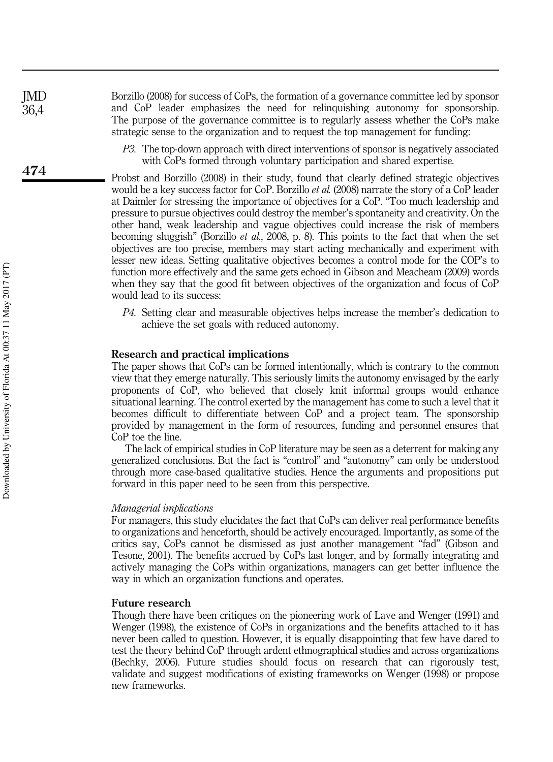Borzillo (2008) for success of CoPs, the formation of a governance committee led by sponsor and CoP leader emphasizes the need for relinquishing autonomy for sponsorship. The purpose of the governance committee is to regularly assess whether the CoPs make strategic sense to the organization and to request the top management for funding:

*P3.* The top-down approach with direct interventions of sponsor is negatively associated with CoPs formed through voluntary participation and shared expertise.

Probst and Borzillo (2008) in their study, found that clearly defined strategic objectives would be a key success factor for CoP. Borzillo *et al.* (2008) narrate the story of a CoP leader at Daimler for stressing the importance of objectives for a CoP. "Too much leadership and pressure to pursue objectives could destroy the member's spontaneity and creativity. On the other hand, weak leadership and vague objectives could increase the risk of members becoming sluggish" (Borzillo *et al.*, 2008, p. 8). This points to the fact that when the set objectives are too precise, members may start acting mechanically and experiment with lesser new ideas. Setting qualitative objectives becomes a control mode for the COP's to function more effectively and the same gets echoed in Gibson and Meacheam (2009) words when they say that the good fit between objectives of the organization and focus of CoP would lead to its success:

*P4.* Setting clear and measurable objectives helps increase the member's dedication to achieve the set goals with reduced autonomy.

#### Research and practical implications

The paper shows that CoPs can be formed intentionally, which is contrary to the common view that they emerge naturally. This seriously limits the autonomy envisaged by the early proponents of CoP, who believed that closely knit informal groups would enhance situational learning. The control exerted by the management has come to such a level that it becomes difficult to differentiate between CoP and a project team. The sponsorship provided by management in the form of resources, funding and personnel ensures that CoP toe the line.

The lack of empirical studies in CoP literature may be seen as a deterrent for making any generalized conclusions. But the fact is "control" and "autonomy" can only be understood through more case-based qualitative studies. Hence the arguments and propositions put forward in this paper need to be seen from this perspective.

#### *Managerial implications*

For managers, this study elucidates the fact that CoPs can deliver real performance benefits to organizations and henceforth, should be actively encouraged. Importantly, as some of the critics say, CoPs cannot be dismissed as just another management "fad" (Gibson and Tesone, 2001). The benefits accrued by CoPs last longer, and by formally integrating and actively managing the CoPs within organizations, managers can get better influence the way in which an organization functions and operates.

#### Future research

Though there have been critiques on the pioneering work of Lave and Wenger (1991) and Wenger (1998), the existence of CoPs in organizations and the benefits attached to it has never been called to question. However, it is equally disappointing that few have dared to test the theory behind CoP through ardent ethnographical studies and across organizations (Bechky, 2006). Future studies should focus on research that can rigorously test, validate and suggest modifications of existing frameworks on Wenger (1998) or propose new frameworks.

474

JMD 36,4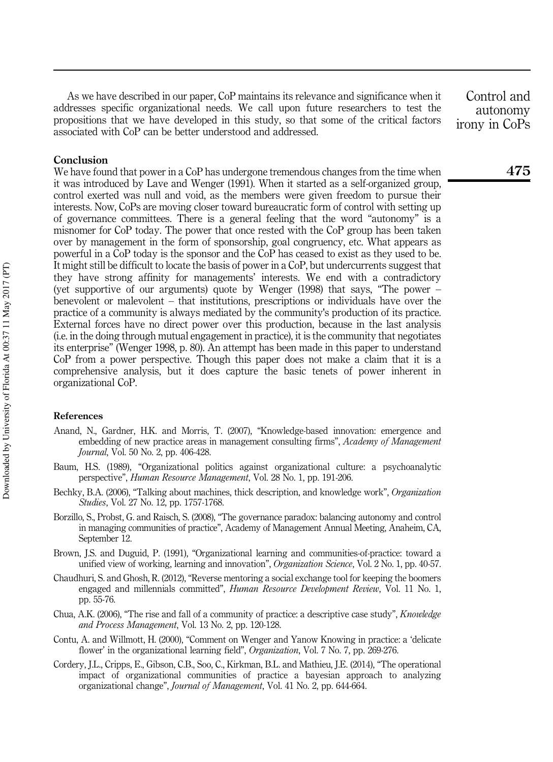As we have described in our paper, CoP maintains its relevance and significance when it addresses specific organizational needs. We call upon future researchers to test the propositions that we have developed in this study, so that some of the critical factors associated with CoP can be better understood and addressed.

#### Conclusion

We have found that power in a CoP has undergone tremendous changes from the time when it was introduced by Lave and Wenger (1991). When it started as a self-organized group, control exerted was null and void, as the members were given freedom to pursue their interests. Now, CoPs are moving closer toward bureaucratic form of control with setting up of governance committees. There is a general feeling that the word "autonomy" is a misnomer for CoP today. The power that once rested with the CoP group has been taken over by management in the form of sponsorship, goal congruency, etc. What appears as powerful in a CoP today is the sponsor and the CoP has ceased to exist as they used to be. It might still be difficult to locate the basis of power in a CoP, but undercurrents suggest that they have strong affinity for managements' interests. We end with a contradictory (yet supportive of our arguments) quote by Wenger (1998) that says, "The power – benevolent or malevolent – that institutions, prescriptions or individuals have over the practice of a community is always mediated by the community's production of its practice. External forces have no direct power over this production, because in the last analysis (i.e. in the doing through mutual engagement in practice), it is the community that negotiates its enterprise" (Wenger 1998, p. 80). An attempt has been made in this paper to understand CoP from a power perspective. Though this paper does not make a claim that it is a comprehensive analysis, but it does capture the basic tenets of power inherent in organizational CoP.

#### References

- Anand, N., Gardner, H.K. and Morris, T. (2007), "Knowledge-based innovation: emergence and embedding of new practice areas in management consulting firms", *Academy of Management Journal*, Vol. 50 No. 2, pp. 406-428.
- Baum, H.S. (1989), "Organizational politics against organizational culture: a psychoanalytic perspective", *Human Resource Management*, Vol. 28 No. 1, pp. 191-206.
- Bechky, B.A. (2006), "Talking about machines, thick description, and knowledge work", *Organization Studies*, Vol. 27 No. 12, pp. 1757-1768.
- Borzillo, S., Probst, G. and Raisch, S. (2008), "The governance paradox: balancing autonomy and control in managing communities of practice", Academy of Management Annual Meeting, Anaheim, CA, September 12.
- Brown, J.S. and Duguid, P. (1991), "Organizational learning and communities-of-practice: toward a unified view of working, learning and innovation", *Organization Science*, Vol. 2 No. 1, pp. 40-57.
- Chaudhuri, S. and Ghosh, R. (2012), "Reverse mentoring a social exchange tool for keeping the boomers engaged and millennials committed", *Human Resource Development Review*, Vol. 11 No. 1, pp. 55-76.
- Chua, A.K. (2006), "The rise and fall of a community of practice: a descriptive case study", *Knowledge and Process Management*, Vol. 13 No. 2, pp. 120-128.
- Contu, A. and Willmott, H. (2000), "Comment on Wenger and Yanow Knowing in practice: a 'delicate flower' in the organizational learning field", *Organization*, Vol. 7 No. 7, pp. 269-276.
- Cordery, J.L., Cripps, E., Gibson, C.B., Soo, C., Kirkman, B.L. and Mathieu, J.E. (2014), "The operational impact of organizational communities of practice a bayesian approach to analyzing organizational change", *Journal of Management*, Vol. 41 No. 2, pp. 644-664.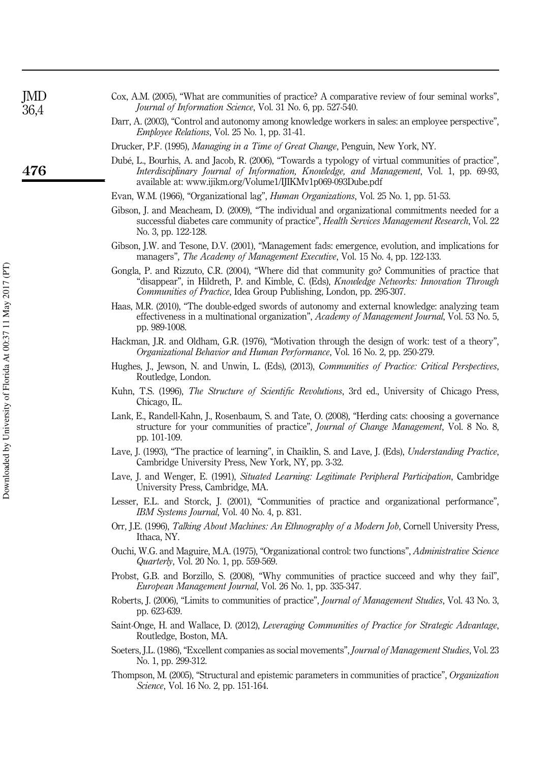| JMD<br>36,4 | Cox, A.M. (2005), "What are communities of practice? A comparative review of four seminal works",<br><i>Journal of Information Science, Vol. 31 No. 6, pp. 527-540.</i>                                                                                                      |
|-------------|------------------------------------------------------------------------------------------------------------------------------------------------------------------------------------------------------------------------------------------------------------------------------|
|             | Darr, A. (2003), "Control and autonomy among knowledge workers in sales: an employee perspective",<br><i>Employee Relations, Vol. 25 No. 1, pp. 31-41.</i>                                                                                                                   |
|             | Drucker, P.F. (1995), Managing in a Time of Great Change, Penguin, New York, NY.                                                                                                                                                                                             |
| 476         | Dubé, L., Bourhis, A. and Jacob, R. (2006), "Towards a typology of virtual communities of practice",<br>Interdisciplinary Journal of Information, Knowledge, and Management, Vol. 1, pp. 69-93,<br>available at: www.ijikm.org/Volume1/IJIKMv1p069-093Dube.pdf               |
|             | Evan, W.M. (1966), "Organizational lag", <i>Human Organizations</i> , Vol. 25 No. 1, pp. 51-53.                                                                                                                                                                              |
|             | Gibson, J. and Meacheam, D. (2009), "The individual and organizational commitments needed for a<br>successful diabetes care community of practice", Health Services Management Research, Vol. 22<br>No. 3, pp. 122-128.                                                      |
|             | Gibson, J.W. and Tesone, D.V. (2001), "Management fads: emergence, evolution, and implications for<br>managers", <i>The Academy of Management Executive</i> , Vol. 15 No. 4, pp. 122-133.                                                                                    |
|             | Gongla, P. and Rizzuto, C.R. (2004), "Where did that community go? Communities of practice that<br>"disappear", in Hildreth, P. and Kimble, C. (Eds), Knowledge Networks: Innovation Through<br><i>Communities of Practice</i> , Idea Group Publishing, London, pp. 295-307. |
|             | Haas, M.R. (2010), "The double-edged swords of autonomy and external knowledge: analyzing team<br>effectiveness in a multinational organization", Academy of Management Journal, Vol. 53 No. 5,<br>pp. 989-1008.                                                             |
|             | Hackman, J.R. and Oldham, G.R. (1976), "Motivation through the design of work: test of a theory",<br>Organizational Behavior and Human Performance, Vol. 16 No. 2, pp. 250-279.                                                                                              |
|             | Hughes, J., Jewson, N. and Unwin, L. (Eds), (2013), Communities of Practice: Critical Perspectives,<br>Routledge, London.                                                                                                                                                    |
|             | Kuhn, T.S. (1996), The Structure of Scientific Revolutions, 3rd ed., University of Chicago Press,<br>Chicago, IL.                                                                                                                                                            |
|             | Lank, E., Randell-Kahn, J., Rosenbaum, S. and Tate, O. (2008), "Herding cats: choosing a governance<br>structure for your communities of practice", Journal of Change Management, Vol. 8 No. 8,<br>pp. 101-109.                                                              |
|             | Lave, J. (1993), "The practice of learning", in Chaiklin, S. and Lave, J. (Eds), Understanding Practice,<br>Cambridge University Press, New York, NY, pp. 3-32.                                                                                                              |
|             | Lave, J. and Wenger, E. (1991), Situated Learning: Legitimate Peripheral Participation, Cambridge<br>University Press, Cambridge, MA.                                                                                                                                        |
|             | Lesser, E.L. and Storck, J. (2001), "Communities of practice and organizational performance",<br>IBM Systems Journal, Vol. 40 No. 4, p. 831.                                                                                                                                 |
|             | Orr, J.E. (1996), Talking About Machines: An Ethnography of a Modern Job, Cornell University Press,<br>Ithaca, NY.                                                                                                                                                           |
|             | Ouchi, W.G. and Maguire, M.A. (1975), "Organizational control: two functions", Administrative Science<br>Quarterly, Vol. 20 No. 1, pp. 559-569.                                                                                                                              |
|             | Probst, G.B. and Borzillo, S. (2008), "Why communities of practice succeed and why they fail",<br>European Management Journal, Vol. 26 No. 1, pp. 335-347.                                                                                                                   |
|             | Roberts, J. (2006), "Limits to communities of practice", <i>Journal of Management Studies</i> , Vol. 43 No. 3,<br>pp. 623-639.                                                                                                                                               |
|             | Saint-Onge, H. and Wallace, D. (2012), Leveraging Communities of Practice for Strategic Advantage,<br>Routledge, Boston, MA.                                                                                                                                                 |
|             | Soeters, J.L. (1986), "Excellent companies as social movements", Journal of Management Studies, Vol. 23<br>No. 1, pp. 299-312.                                                                                                                                               |
|             | Thompson, M. (2005), "Structural and epistemic parameters in communities of practice", Organization                                                                                                                                                                          |

*Science*, Vol. 16 No. 2, pp. 151-164.